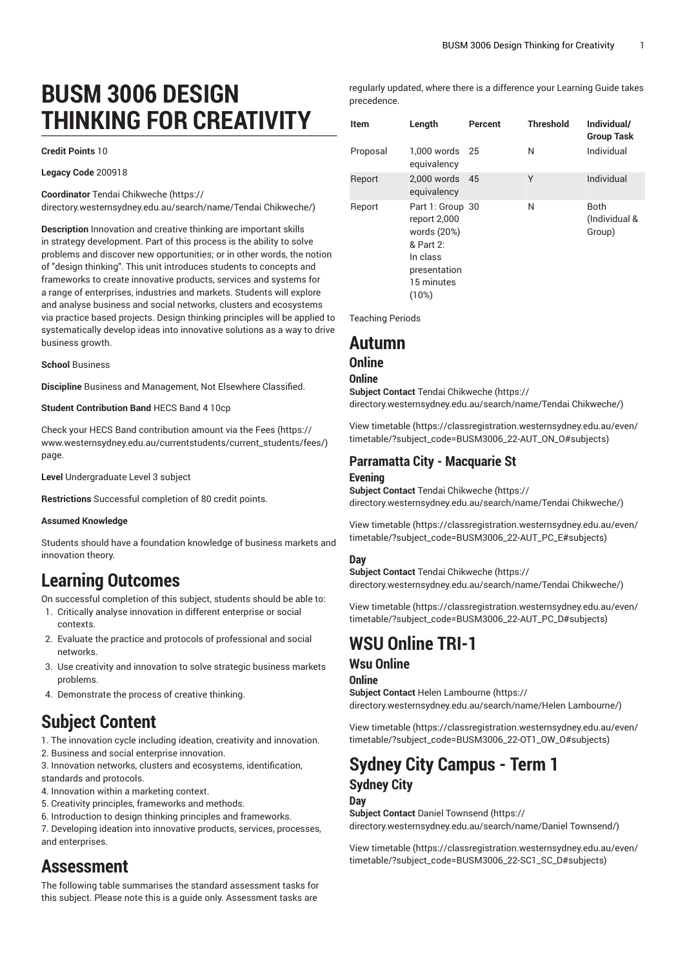# **BUSM 3006 DESIGN THINKING FOR CREATIVITY**

#### **Credit Points** 10

**Legacy Code** 200918

**Coordinator** Tendai [Chikweche \(https://](https://directory.westernsydney.edu.au/search/name/Tendai Chikweche/)

[directory.westernsydney.edu.au/search/name/Tendai](https://directory.westernsydney.edu.au/search/name/Tendai Chikweche/) Chikweche/)

**Description** Innovation and creative thinking are important skills in strategy development. Part of this process is the ability to solve problems and discover new opportunities; or in other words, the notion of "design thinking". This unit introduces students to concepts and frameworks to create innovative products, services and systems for a range of enterprises, industries and markets. Students will explore and analyse business and social networks, clusters and ecosystems via practice based projects. Design thinking principles will be applied to systematically develop ideas into innovative solutions as a way to drive business growth.

#### **School** Business

**Discipline** Business and Management, Not Elsewhere Classified.

#### **Student Contribution Band** HECS Band 4 10cp

Check your HECS Band contribution amount via the [Fees \(https://](https://www.westernsydney.edu.au/currentstudents/current_students/fees/) [www.westernsydney.edu.au/currentstudents/current\\_students/fees/\)](https://www.westernsydney.edu.au/currentstudents/current_students/fees/) page.

**Level** Undergraduate Level 3 subject

**Restrictions** Successful completion of 80 credit points.

#### **Assumed Knowledge**

Students should have a foundation knowledge of business markets and innovation theory.

## **Learning Outcomes**

On successful completion of this subject, students should be able to:

- 1. Critically analyse innovation in different enterprise or social contexts.
- 2. Evaluate the practice and protocols of professional and social networks.
- 3. Use creativity and innovation to solve strategic business markets problems.
- 4. Demonstrate the process of creative thinking.

## **Subject Content**

- 1. The innovation cycle including ideation, creativity and innovation.
- 2. Business and social enterprise innovation.

3. Innovation networks, clusters and ecosystems, identification, standards and protocols.

- 4. Innovation within a marketing context.
- 5. Creativity principles, frameworks and methods.

6. Introduction to design thinking principles and frameworks.

7. Developing ideation into innovative products, services, processes, and enterprises.

## **Assessment**

The following table summarises the standard assessment tasks for this subject. Please note this is a guide only. Assessment tasks are

regularly updated, where there is a difference your Learning Guide takes precedence.

| <b>Item</b> | Length                                                                                                          | Percent | <b>Threshold</b> | Individual/<br><b>Group Task</b> |
|-------------|-----------------------------------------------------------------------------------------------------------------|---------|------------------|----------------------------------|
| Proposal    | $1.000$ words<br>equivalency                                                                                    | - 25    | N                | Individual                       |
| Report      | 2.000 words<br>equivalency                                                                                      | 45      | Υ                | Individual                       |
| Report      | Part 1: Group 30<br>report 2,000<br>words (20%)<br>& Part 2:<br>In class<br>presentation<br>15 minutes<br>(10%) |         | N                | Both<br>(Individual &<br>Group)  |

Teaching Periods

### **Autumn**

#### **Online**

#### **Online**

**Subject Contact** Tendai [Chikweche \(https://](https://directory.westernsydney.edu.au/search/name/Tendai Chikweche/) [directory.westernsydney.edu.au/search/name/Tendai](https://directory.westernsydney.edu.au/search/name/Tendai Chikweche/) Chikweche/)

[View timetable](https://classregistration.westernsydney.edu.au/even/timetable/?subject_code=BUSM3006_22-AUT_ON_O#subjects) [\(https://classregistration.westernsydney.edu.au/even/](https://classregistration.westernsydney.edu.au/even/timetable/?subject_code=BUSM3006_22-AUT_ON_O#subjects) [timetable/?subject\\_code=BUSM3006\\_22-AUT\\_ON\\_O#subjects\)](https://classregistration.westernsydney.edu.au/even/timetable/?subject_code=BUSM3006_22-AUT_ON_O#subjects)

#### **Parramatta City - Macquarie St**

#### **Evening**

**Subject Contact** Tendai [Chikweche \(https://](https://directory.westernsydney.edu.au/search/name/Tendai Chikweche/) [directory.westernsydney.edu.au/search/name/Tendai](https://directory.westernsydney.edu.au/search/name/Tendai Chikweche/) Chikweche/)

[View timetable](https://classregistration.westernsydney.edu.au/even/timetable/?subject_code=BUSM3006_22-AUT_PC_E#subjects) [\(https://classregistration.westernsydney.edu.au/even/](https://classregistration.westernsydney.edu.au/even/timetable/?subject_code=BUSM3006_22-AUT_PC_E#subjects) [timetable/?subject\\_code=BUSM3006\\_22-AUT\\_PC\\_E#subjects\)](https://classregistration.westernsydney.edu.au/even/timetable/?subject_code=BUSM3006_22-AUT_PC_E#subjects)

#### **Day**

**Subject Contact** Tendai [Chikweche \(https://](https://directory.westernsydney.edu.au/search/name/Tendai Chikweche/) [directory.westernsydney.edu.au/search/name/Tendai](https://directory.westernsydney.edu.au/search/name/Tendai Chikweche/) Chikweche/)

[View timetable](https://classregistration.westernsydney.edu.au/even/timetable/?subject_code=BUSM3006_22-AUT_PC_D#subjects) [\(https://classregistration.westernsydney.edu.au/even/](https://classregistration.westernsydney.edu.au/even/timetable/?subject_code=BUSM3006_22-AUT_PC_D#subjects) [timetable/?subject\\_code=BUSM3006\\_22-AUT\\_PC\\_D#subjects](https://classregistration.westernsydney.edu.au/even/timetable/?subject_code=BUSM3006_22-AUT_PC_D#subjects))

### **WSU Online TRI-1**

### **Wsu Online**

**Online Subject Contact** [Helen Lambourne](https://directory.westernsydney.edu.au/search/name/Helen Lambourne/) ([https://](https://directory.westernsydney.edu.au/search/name/Helen Lambourne/) [directory.westernsydney.edu.au/search/name/Helen](https://directory.westernsydney.edu.au/search/name/Helen Lambourne/) Lambourne/)

[View timetable](https://classregistration.westernsydney.edu.au/even/timetable/?subject_code=BUSM3006_22-OT1_OW_O#subjects) [\(https://classregistration.westernsydney.edu.au/even/](https://classregistration.westernsydney.edu.au/even/timetable/?subject_code=BUSM3006_22-OT1_OW_O#subjects) [timetable/?subject\\_code=BUSM3006\\_22-OT1\\_OW\\_O#subjects](https://classregistration.westernsydney.edu.au/even/timetable/?subject_code=BUSM3006_22-OT1_OW_O#subjects))

## **Sydney City Campus - Term 1 Sydney City**

#### **Day**

**Subject Contact** Daniel [Townsend](https://directory.westernsydney.edu.au/search/name/Daniel Townsend/) ([https://](https://directory.westernsydney.edu.au/search/name/Daniel Townsend/) [directory.westernsydney.edu.au/search/name/Daniel](https://directory.westernsydney.edu.au/search/name/Daniel Townsend/) Townsend/)

[View timetable](https://classregistration.westernsydney.edu.au/even/timetable/?subject_code=BUSM3006_22-SC1_SC_D#subjects) [\(https://classregistration.westernsydney.edu.au/even/](https://classregistration.westernsydney.edu.au/even/timetable/?subject_code=BUSM3006_22-SC1_SC_D#subjects) [timetable/?subject\\_code=BUSM3006\\_22-SC1\\_SC\\_D#subjects\)](https://classregistration.westernsydney.edu.au/even/timetable/?subject_code=BUSM3006_22-SC1_SC_D#subjects)